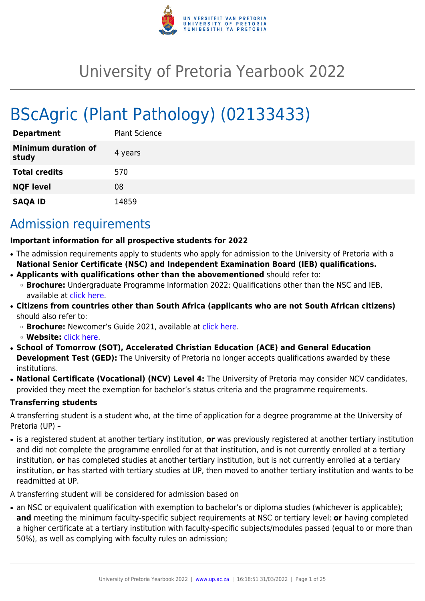

# University of Pretoria Yearbook 2022

# BScAgric (Plant Pathology) (02133433)

| <b>Department</b>                   | <b>Plant Science</b> |
|-------------------------------------|----------------------|
| <b>Minimum duration of</b><br>study | 4 years              |
| <b>Total credits</b>                | 570                  |
| <b>NQF level</b>                    | 08                   |
| <b>SAQA ID</b>                      | 14859                |

# Admission requirements

#### **Important information for all prospective students for 2022**

- The admission requirements apply to students who apply for admission to the University of Pretoria with a **National Senior Certificate (NSC) and Independent Examination Board (IEB) qualifications.**
- **Applicants with qualifications other than the abovementioned** should refer to:
- ❍ **Brochure:** Undergraduate Programme Information 2022: Qualifications other than the NSC and IEB, available at [click here.](https://www.up.ac.za/students/article/2749263/admission-information)
- **Citizens from countries other than South Africa (applicants who are not South African citizens)** should also refer to:
	- ❍ **Brochure:** Newcomer's Guide 2021, available at [click here.](https://www.up.ac.za/students/article/2749263/admission-information)
	- ❍ **Website:** [click here](http://www.up.ac.za/international-cooperation-division).
- **School of Tomorrow (SOT), Accelerated Christian Education (ACE) and General Education Development Test (GED):** The University of Pretoria no longer accepts qualifications awarded by these institutions.
- **National Certificate (Vocational) (NCV) Level 4:** The University of Pretoria may consider NCV candidates, provided they meet the exemption for bachelor's status criteria and the programme requirements.

#### **Transferring students**

A transferring student is a student who, at the time of application for a degree programme at the University of Pretoria (UP) –

● is a registered student at another tertiary institution, **or** was previously registered at another tertiary institution and did not complete the programme enrolled for at that institution, and is not currently enrolled at a tertiary institution, **or** has completed studies at another tertiary institution, but is not currently enrolled at a tertiary institution, **or** has started with tertiary studies at UP, then moved to another tertiary institution and wants to be readmitted at UP.

A transferring student will be considered for admission based on

• an NSC or equivalent qualification with exemption to bachelor's or diploma studies (whichever is applicable); **and** meeting the minimum faculty-specific subject requirements at NSC or tertiary level; **or** having completed a higher certificate at a tertiary institution with faculty-specific subjects/modules passed (equal to or more than 50%), as well as complying with faculty rules on admission;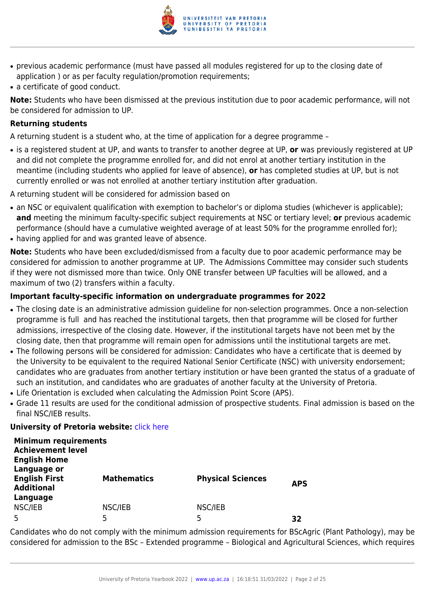

- previous academic performance (must have passed all modules registered for up to the closing date of application ) or as per faculty regulation/promotion requirements;
- a certificate of good conduct.

**Note:** Students who have been dismissed at the previous institution due to poor academic performance, will not be considered for admission to UP.

#### **Returning students**

A returning student is a student who, at the time of application for a degree programme –

● is a registered student at UP, and wants to transfer to another degree at UP, **or** was previously registered at UP and did not complete the programme enrolled for, and did not enrol at another tertiary institution in the meantime (including students who applied for leave of absence), **or** has completed studies at UP, but is not currently enrolled or was not enrolled at another tertiary institution after graduation.

A returning student will be considered for admission based on

- an NSC or equivalent qualification with exemption to bachelor's or diploma studies (whichever is applicable); **and** meeting the minimum faculty-specific subject requirements at NSC or tertiary level; **or** previous academic performance (should have a cumulative weighted average of at least 50% for the programme enrolled for);
- having applied for and was granted leave of absence.

**Note:** Students who have been excluded/dismissed from a faculty due to poor academic performance may be considered for admission to another programme at UP. The Admissions Committee may consider such students if they were not dismissed more than twice. Only ONE transfer between UP faculties will be allowed, and a maximum of two (2) transfers within a faculty.

### **Important faculty-specific information on undergraduate programmes for 2022**

- The closing date is an administrative admission guideline for non-selection programmes. Once a non-selection programme is full and has reached the institutional targets, then that programme will be closed for further admissions, irrespective of the closing date. However, if the institutional targets have not been met by the closing date, then that programme will remain open for admissions until the institutional targets are met.
- The following persons will be considered for admission: Candidates who have a certificate that is deemed by the University to be equivalent to the required National Senior Certificate (NSC) with university endorsement; candidates who are graduates from another tertiary institution or have been granted the status of a graduate of such an institution, and candidates who are graduates of another faculty at the University of Pretoria.
- Life Orientation is excluded when calculating the Admission Point Score (APS).
- Grade 11 results are used for the conditional admission of prospective students. Final admission is based on the final NSC/IEB results.

#### **University of Pretoria website: [click here](http://www.up.ac.za/nas)**

| <b>Minimum requirements</b><br><b>Achievement level</b><br><b>English Home</b> |                    |                          |            |
|--------------------------------------------------------------------------------|--------------------|--------------------------|------------|
| Language or<br><b>English First</b><br><b>Additional</b>                       | <b>Mathematics</b> | <b>Physical Sciences</b> | <b>APS</b> |
| Language<br>NSC/IEB<br>5                                                       | NSC/IEB<br>5       | NSC/IEB<br>5             | 32         |

Candidates who do not comply with the minimum admission requirements for BScAgric (Plant Pathology), may be considered for admission to the BSc – Extended programme – Biological and Agricultural Sciences, which requires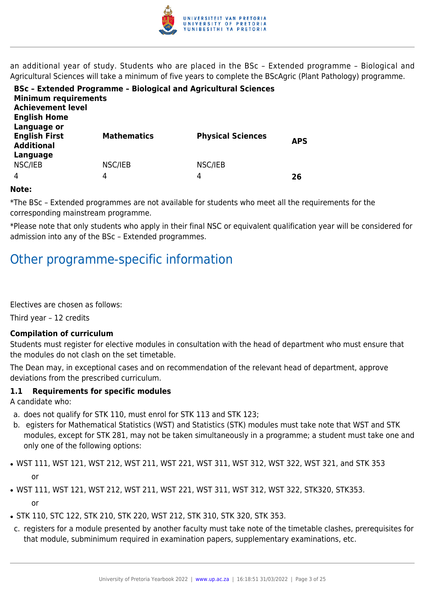

an additional year of study. Students who are placed in the BSc – Extended programme – Biological and Agricultural Sciences will take a minimum of five years to complete the BScAgric (Plant Pathology) programme.

| <b>Minimum requirements</b><br><b>Achievement level</b><br><b>English Home</b> | <b>BSc - Extended Programme - Biological and Agricultural Sciences</b> |                          |            |
|--------------------------------------------------------------------------------|------------------------------------------------------------------------|--------------------------|------------|
| Language or<br><b>English First</b><br><b>Additional</b><br>Language           | <b>Mathematics</b>                                                     | <b>Physical Sciences</b> | <b>APS</b> |
| NSC/IEB                                                                        | NSC/IEB                                                                | NSC/IEB                  |            |
| 4                                                                              | 4                                                                      | 4                        | 26         |

#### **Note:**

\*The BSc – Extended programmes are not available for students who meet all the requirements for the corresponding mainstream programme.

\*Please note that only students who apply in their final NSC or equivalent qualification year will be considered for admission into any of the BSc – Extended programmes.

# Other programme-specific information

Electives are chosen as follows:

Third year – 12 credits

#### **Compilation of curriculum**

Students must register for elective modules in consultation with the head of department who must ensure that the modules do not clash on the set timetable.

The Dean may, in exceptional cases and on recommendation of the relevant head of department, approve deviations from the prescribed curriculum.

#### **1.1 Requirements for specific modules**

A candidate who:

- a. does not qualify for STK 110, must enrol for STK 113 and STK 123;
- b. egisters for Mathematical Statistics (WST) and Statistics (STK) modules must take note that WST and STK modules, except for STK 281, may not be taken simultaneously in a programme; a student must take one and only one of the following options:
- WST 111, WST 121, WST 212, WST 211, WST 221, WST 311, WST 312, WST 322, WST 321, and STK 353 or
- WST 111, WST 121, WST 212, WST 211, WST 221, WST 311, WST 312, WST 322, STK320, STK353. or
- STK 110, STC 122, STK 210, STK 220, WST 212, STK 310, STK 320, STK 353.
- c. registers for a module presented by another faculty must take note of the timetable clashes, prerequisites for that module, subminimum required in examination papers, supplementary examinations, etc.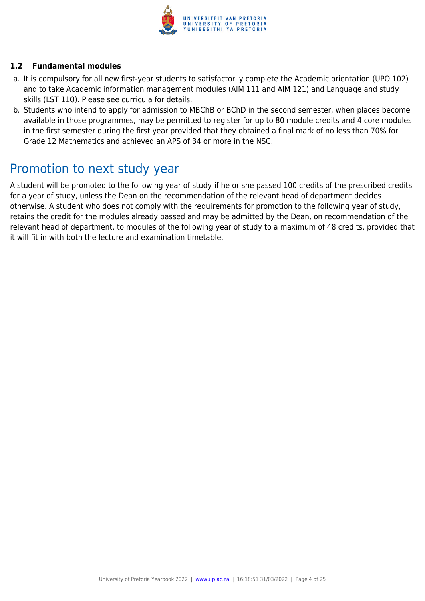

#### **1.2 Fundamental modules**

- a. It is compulsory for all new first-year students to satisfactorily complete the Academic orientation (UPO 102) and to take Academic information management modules (AIM 111 and AIM 121) and Language and study skills (LST 110). Please see curricula for details.
- b. Students who intend to apply for admission to MBChB or BChD in the second semester, when places become available in those programmes, may be permitted to register for up to 80 module credits and 4 core modules in the first semester during the first year provided that they obtained a final mark of no less than 70% for Grade 12 Mathematics and achieved an APS of 34 or more in the NSC.

# Promotion to next study year

A student will be promoted to the following year of study if he or she passed 100 credits of the prescribed credits for a year of study, unless the Dean on the recommendation of the relevant head of department decides otherwise. A student who does not comply with the requirements for promotion to the following year of study, retains the credit for the modules already passed and may be admitted by the Dean, on recommendation of the relevant head of department, to modules of the following year of study to a maximum of 48 credits, provided that it will fit in with both the lecture and examination timetable.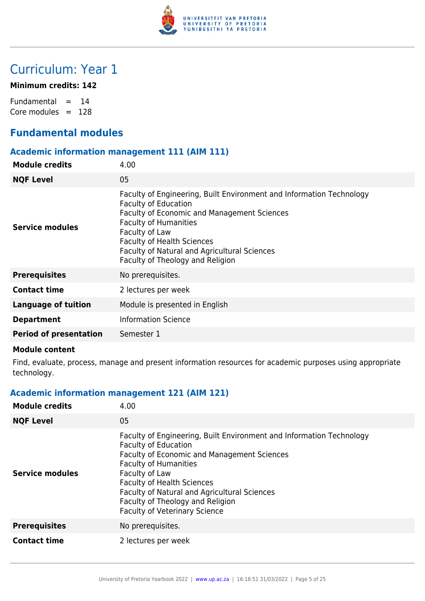

# Curriculum: Year 1

#### **Minimum credits: 142**

Fundamental  $= 14$ Core modules  $= 128$ 

# **Fundamental modules**

### **Academic information management 111 (AIM 111)**

| 4.00                                                                                                                                                                                                                                                                                                                                 |
|--------------------------------------------------------------------------------------------------------------------------------------------------------------------------------------------------------------------------------------------------------------------------------------------------------------------------------------|
| 05                                                                                                                                                                                                                                                                                                                                   |
| Faculty of Engineering, Built Environment and Information Technology<br><b>Faculty of Education</b><br><b>Faculty of Economic and Management Sciences</b><br><b>Faculty of Humanities</b><br>Faculty of Law<br><b>Faculty of Health Sciences</b><br>Faculty of Natural and Agricultural Sciences<br>Faculty of Theology and Religion |
| No prerequisites.                                                                                                                                                                                                                                                                                                                    |
| 2 lectures per week                                                                                                                                                                                                                                                                                                                  |
| Module is presented in English                                                                                                                                                                                                                                                                                                       |
| <b>Information Science</b>                                                                                                                                                                                                                                                                                                           |
| Semester 1                                                                                                                                                                                                                                                                                                                           |
|                                                                                                                                                                                                                                                                                                                                      |

#### **Module content**

Find, evaluate, process, manage and present information resources for academic purposes using appropriate technology.

# **Academic information management 121 (AIM 121)**

| <b>Module credits</b>  | 4.00                                                                                                                                                                                                                                                                                                                                                                                |
|------------------------|-------------------------------------------------------------------------------------------------------------------------------------------------------------------------------------------------------------------------------------------------------------------------------------------------------------------------------------------------------------------------------------|
| <b>NQF Level</b>       | 05                                                                                                                                                                                                                                                                                                                                                                                  |
| <b>Service modules</b> | Faculty of Engineering, Built Environment and Information Technology<br><b>Faculty of Education</b><br><b>Faculty of Economic and Management Sciences</b><br><b>Faculty of Humanities</b><br>Faculty of Law<br><b>Faculty of Health Sciences</b><br><b>Faculty of Natural and Agricultural Sciences</b><br>Faculty of Theology and Religion<br><b>Faculty of Veterinary Science</b> |
| <b>Prerequisites</b>   | No prerequisites.                                                                                                                                                                                                                                                                                                                                                                   |
| <b>Contact time</b>    | 2 lectures per week                                                                                                                                                                                                                                                                                                                                                                 |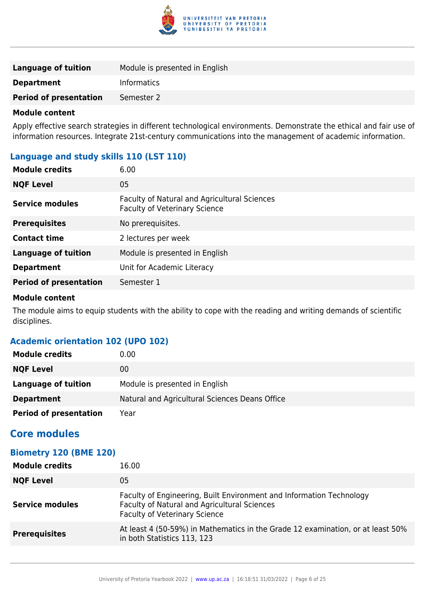

| <b>Language of tuition</b>    | Module is presented in English |
|-------------------------------|--------------------------------|
| <b>Department</b>             | <b>Informatics</b>             |
| <b>Period of presentation</b> | Semester 2                     |

Apply effective search strategies in different technological environments. Demonstrate the ethical and fair use of information resources. Integrate 21st-century communications into the management of academic information.

# **Language and study skills 110 (LST 110)**

| <b>Module credits</b>         | 6.00                                                                                 |
|-------------------------------|--------------------------------------------------------------------------------------|
| <b>NQF Level</b>              | 05                                                                                   |
| Service modules               | Faculty of Natural and Agricultural Sciences<br><b>Faculty of Veterinary Science</b> |
| <b>Prerequisites</b>          | No prerequisites.                                                                    |
| <b>Contact time</b>           | 2 lectures per week                                                                  |
| <b>Language of tuition</b>    | Module is presented in English                                                       |
| <b>Department</b>             | Unit for Academic Literacy                                                           |
| <b>Period of presentation</b> | Semester 1                                                                           |

#### **Module content**

The module aims to equip students with the ability to cope with the reading and writing demands of scientific disciplines.

# **Academic orientation 102 (UPO 102)**

| <b>Module credits</b>         | 0.00                                           |
|-------------------------------|------------------------------------------------|
| <b>NQF Level</b>              | 00                                             |
| Language of tuition           | Module is presented in English                 |
| <b>Department</b>             | Natural and Agricultural Sciences Deans Office |
| <b>Period of presentation</b> | Year                                           |

# **Core modules**

# **Biometry 120 (BME 120)**

| <b>Module credits</b> | 16.00                                                                                                                                                        |
|-----------------------|--------------------------------------------------------------------------------------------------------------------------------------------------------------|
| <b>NQF Level</b>      | 05                                                                                                                                                           |
| Service modules       | Faculty of Engineering, Built Environment and Information Technology<br>Faculty of Natural and Agricultural Sciences<br><b>Faculty of Veterinary Science</b> |
| <b>Prerequisites</b>  | At least 4 (50-59%) in Mathematics in the Grade 12 examination, or at least 50%<br>in both Statistics 113, 123                                               |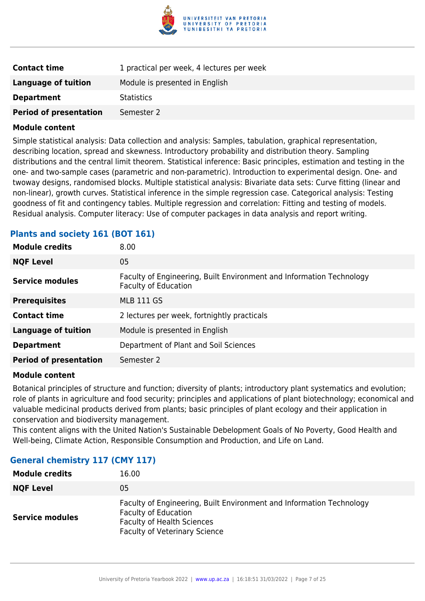

| <b>Contact time</b>           | 1 practical per week, 4 lectures per week |
|-------------------------------|-------------------------------------------|
| <b>Language of tuition</b>    | Module is presented in English            |
| <b>Department</b>             | <b>Statistics</b>                         |
| <b>Period of presentation</b> | Semester 2                                |

Simple statistical analysis: Data collection and analysis: Samples, tabulation, graphical representation, describing location, spread and skewness. Introductory probability and distribution theory. Sampling distributions and the central limit theorem. Statistical inference: Basic principles, estimation and testing in the one- and two-sample cases (parametric and non-parametric). Introduction to experimental design. One- and twoway designs, randomised blocks. Multiple statistical analysis: Bivariate data sets: Curve fitting (linear and non-linear), growth curves. Statistical inference in the simple regression case. Categorical analysis: Testing goodness of fit and contingency tables. Multiple regression and correlation: Fitting and testing of models. Residual analysis. Computer literacy: Use of computer packages in data analysis and report writing.

| 8.00                                                                                                |
|-----------------------------------------------------------------------------------------------------|
| 05                                                                                                  |
| Faculty of Engineering, Built Environment and Information Technology<br><b>Faculty of Education</b> |
| <b>MLB 111 GS</b>                                                                                   |
| 2 lectures per week, fortnightly practicals                                                         |
| Module is presented in English                                                                      |
| Department of Plant and Soil Sciences                                                               |
| Semester 2                                                                                          |
|                                                                                                     |

#### **Plants and society 161 (BOT 161)**

#### **Module content**

Botanical principles of structure and function; diversity of plants; introductory plant systematics and evolution; role of plants in agriculture and food security; principles and applications of plant biotechnology; economical and valuable medicinal products derived from plants; basic principles of plant ecology and their application in conservation and biodiversity management.

This content aligns with the United Nation's Sustainable Debelopment Goals of No Poverty, Good Health and Well-being, Climate Action, Responsible Consumption and Production, and Life on Land.

| CMI 117) /Jeneral cnemistry 117 |                                                                                                                                                                                  |
|---------------------------------|----------------------------------------------------------------------------------------------------------------------------------------------------------------------------------|
| <b>Module credits</b>           | 16.00                                                                                                                                                                            |
| <b>NQF Level</b>                | 05                                                                                                                                                                               |
| <b>Service modules</b>          | Faculty of Engineering, Built Environment and Information Technology<br><b>Faculty of Education</b><br><b>Faculty of Health Sciences</b><br><b>Faculty of Veterinary Science</b> |

# **General chemist**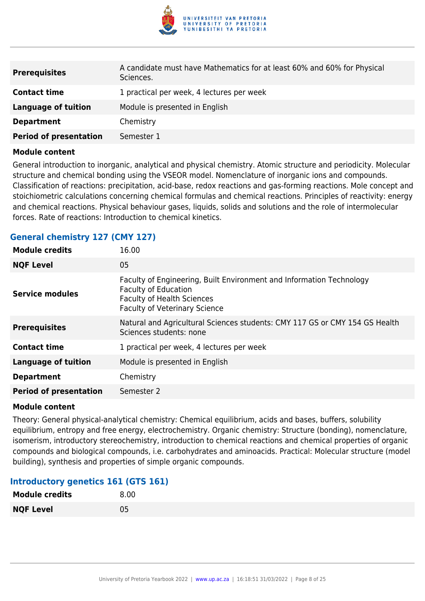

| <b>Prerequisites</b>          | A candidate must have Mathematics for at least 60% and 60% for Physical<br>Sciences. |
|-------------------------------|--------------------------------------------------------------------------------------|
| <b>Contact time</b>           | 1 practical per week, 4 lectures per week                                            |
| <b>Language of tuition</b>    | Module is presented in English                                                       |
| <b>Department</b>             | Chemistry                                                                            |
| <b>Period of presentation</b> | Semester 1                                                                           |

General introduction to inorganic, analytical and physical chemistry. Atomic structure and periodicity. Molecular structure and chemical bonding using the VSEOR model. Nomenclature of inorganic ions and compounds. Classification of reactions: precipitation, acid-base, redox reactions and gas-forming reactions. Mole concept and stoichiometric calculations concerning chemical formulas and chemical reactions. Principles of reactivity: energy and chemical reactions. Physical behaviour gases, liquids, solids and solutions and the role of intermolecular forces. Rate of reactions: Introduction to chemical kinetics.

#### **General chemistry 127 (CMY 127)**

| <b>Module credits</b>         | 16.00                                                                                                                                                                            |
|-------------------------------|----------------------------------------------------------------------------------------------------------------------------------------------------------------------------------|
| <b>NQF Level</b>              | 05                                                                                                                                                                               |
| <b>Service modules</b>        | Faculty of Engineering, Built Environment and Information Technology<br><b>Faculty of Education</b><br><b>Faculty of Health Sciences</b><br><b>Faculty of Veterinary Science</b> |
| <b>Prerequisites</b>          | Natural and Agricultural Sciences students: CMY 117 GS or CMY 154 GS Health<br>Sciences students: none                                                                           |
| <b>Contact time</b>           | 1 practical per week, 4 lectures per week                                                                                                                                        |
| <b>Language of tuition</b>    | Module is presented in English                                                                                                                                                   |
| <b>Department</b>             | Chemistry                                                                                                                                                                        |
| <b>Period of presentation</b> | Semester 2                                                                                                                                                                       |
|                               |                                                                                                                                                                                  |

#### **Module content**

Theory: General physical-analytical chemistry: Chemical equilibrium, acids and bases, buffers, solubility equilibrium, entropy and free energy, electrochemistry. Organic chemistry: Structure (bonding), nomenclature, isomerism, introductory stereochemistry, introduction to chemical reactions and chemical properties of organic compounds and biological compounds, i.e. carbohydrates and aminoacids. Practical: Molecular structure (model building), synthesis and properties of simple organic compounds.

#### **Introductory genetics 161 (GTS 161)**

| <b>Module credits</b> | 8.00 |
|-----------------------|------|
| <b>NQF Level</b>      | 05   |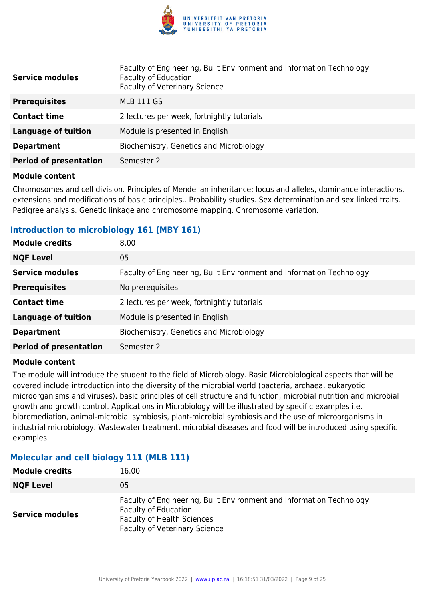

| <b>Service modules</b>        | Faculty of Engineering, Built Environment and Information Technology<br><b>Faculty of Education</b><br><b>Faculty of Veterinary Science</b> |
|-------------------------------|---------------------------------------------------------------------------------------------------------------------------------------------|
| <b>Prerequisites</b>          | <b>MLB 111 GS</b>                                                                                                                           |
| <b>Contact time</b>           | 2 lectures per week, fortnightly tutorials                                                                                                  |
| <b>Language of tuition</b>    | Module is presented in English                                                                                                              |
| <b>Department</b>             | Biochemistry, Genetics and Microbiology                                                                                                     |
| <b>Period of presentation</b> | Semester 2                                                                                                                                  |

Chromosomes and cell division. Principles of Mendelian inheritance: locus and alleles, dominance interactions, extensions and modifications of basic principles.. Probability studies. Sex determination and sex linked traits. Pedigree analysis. Genetic linkage and chromosome mapping. Chromosome variation.

#### **Introduction to microbiology 161 (MBY 161)**

| <b>Module credits</b>         | 8.00                                                                 |
|-------------------------------|----------------------------------------------------------------------|
| <b>NQF Level</b>              | 05                                                                   |
| <b>Service modules</b>        | Faculty of Engineering, Built Environment and Information Technology |
| <b>Prerequisites</b>          | No prerequisites.                                                    |
| <b>Contact time</b>           | 2 lectures per week, fortnightly tutorials                           |
| <b>Language of tuition</b>    | Module is presented in English                                       |
| <b>Department</b>             | Biochemistry, Genetics and Microbiology                              |
| <b>Period of presentation</b> | Semester 2                                                           |

#### **Module content**

The module will introduce the student to the field of Microbiology. Basic Microbiological aspects that will be covered include introduction into the diversity of the microbial world (bacteria, archaea, eukaryotic microorganisms and viruses), basic principles of cell structure and function, microbial nutrition and microbial growth and growth control. Applications in Microbiology will be illustrated by specific examples i.e. bioremediation, animal-microbial symbiosis, plant-microbial symbiosis and the use of microorganisms in industrial microbiology. Wastewater treatment, microbial diseases and food will be introduced using specific examples.

# **Molecular and cell biology 111 (MLB 111)**

| <b>Module credits</b>  | 16.00                                                                                                                                                                            |
|------------------------|----------------------------------------------------------------------------------------------------------------------------------------------------------------------------------|
| <b>NQF Level</b>       | 05                                                                                                                                                                               |
| <b>Service modules</b> | Faculty of Engineering, Built Environment and Information Technology<br><b>Faculty of Education</b><br><b>Faculty of Health Sciences</b><br><b>Faculty of Veterinary Science</b> |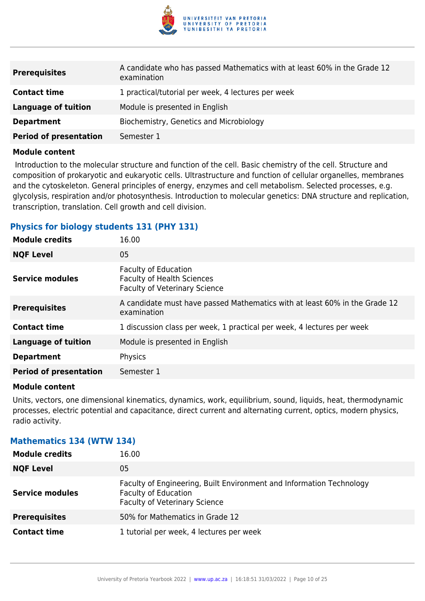

| <b>Prerequisites</b>          | A candidate who has passed Mathematics with at least 60% in the Grade 12<br>examination |
|-------------------------------|-----------------------------------------------------------------------------------------|
| <b>Contact time</b>           | 1 practical/tutorial per week, 4 lectures per week                                      |
| Language of tuition           | Module is presented in English                                                          |
| <b>Department</b>             | Biochemistry, Genetics and Microbiology                                                 |
| <b>Period of presentation</b> | Semester 1                                                                              |

 Introduction to the molecular structure and function of the cell. Basic chemistry of the cell. Structure and composition of prokaryotic and eukaryotic cells. Ultrastructure and function of cellular organelles, membranes and the cytoskeleton. General principles of energy, enzymes and cell metabolism. Selected processes, e.g. glycolysis, respiration and/or photosynthesis. Introduction to molecular genetics: DNA structure and replication, transcription, translation. Cell growth and cell division.

#### **Physics for biology students 131 (PHY 131)**

| <b>Module credits</b>         | 16.00                                                                                                    |
|-------------------------------|----------------------------------------------------------------------------------------------------------|
| <b>NQF Level</b>              | 05                                                                                                       |
| <b>Service modules</b>        | <b>Faculty of Education</b><br><b>Faculty of Health Sciences</b><br><b>Faculty of Veterinary Science</b> |
| <b>Prerequisites</b>          | A candidate must have passed Mathematics with at least 60% in the Grade 12<br>examination                |
| <b>Contact time</b>           | 1 discussion class per week, 1 practical per week, 4 lectures per week                                   |
| <b>Language of tuition</b>    | Module is presented in English                                                                           |
| <b>Department</b>             | Physics                                                                                                  |
| <b>Period of presentation</b> | Semester 1                                                                                               |

#### **Module content**

Units, vectors, one dimensional kinematics, dynamics, work, equilibrium, sound, liquids, heat, thermodynamic processes, electric potential and capacitance, direct current and alternating current, optics, modern physics, radio activity.

#### **Mathematics 134 (WTW 134)**

| <b>Module credits</b>  | 16.00                                                                                                                                       |
|------------------------|---------------------------------------------------------------------------------------------------------------------------------------------|
| <b>NQF Level</b>       | 05                                                                                                                                          |
| <b>Service modules</b> | Faculty of Engineering, Built Environment and Information Technology<br><b>Faculty of Education</b><br><b>Faculty of Veterinary Science</b> |
| <b>Prerequisites</b>   | 50% for Mathematics in Grade 12                                                                                                             |
| <b>Contact time</b>    | 1 tutorial per week, 4 lectures per week                                                                                                    |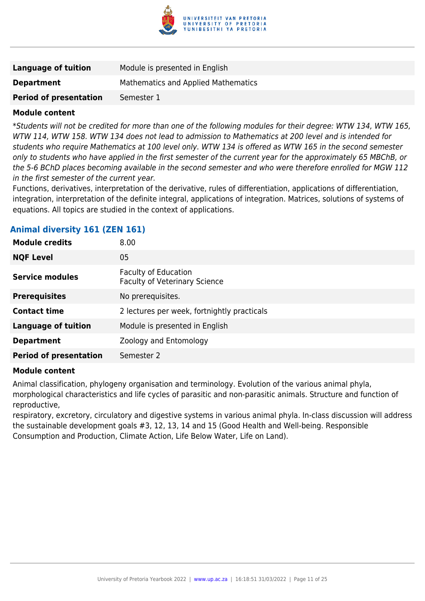

| Language of tuition           | Module is presented in English      |
|-------------------------------|-------------------------------------|
| <b>Department</b>             | Mathematics and Applied Mathematics |
| <b>Period of presentation</b> | Semester 1                          |

\*Students will not be credited for more than one of the following modules for their degree: WTW 134, WTW 165, WTW 114, WTW 158. WTW 134 does not lead to admission to Mathematics at 200 level and is intended for students who require Mathematics at 100 level only. WTW 134 is offered as WTW 165 in the second semester only to students who have applied in the first semester of the current year for the approximately 65 MBChB, or the 5-6 BChD places becoming available in the second semester and who were therefore enrolled for MGW 112 in the first semester of the current year.

Functions, derivatives, interpretation of the derivative, rules of differentiation, applications of differentiation, integration, interpretation of the definite integral, applications of integration. Matrices, solutions of systems of equations. All topics are studied in the context of applications.

# **Animal diversity 161 (ZEN 161)**

| <b>Module credits</b>         | 8.00                                                                |
|-------------------------------|---------------------------------------------------------------------|
| <b>NQF Level</b>              | 05                                                                  |
| Service modules               | <b>Faculty of Education</b><br><b>Faculty of Veterinary Science</b> |
| <b>Prerequisites</b>          | No prerequisites.                                                   |
| <b>Contact time</b>           | 2 lectures per week, fortnightly practicals                         |
| <b>Language of tuition</b>    | Module is presented in English                                      |
| <b>Department</b>             | Zoology and Entomology                                              |
| <b>Period of presentation</b> | Semester 2                                                          |

#### **Module content**

Animal classification, phylogeny organisation and terminology. Evolution of the various animal phyla, morphological characteristics and life cycles of parasitic and non-parasitic animals. Structure and function of reproductive,

respiratory, excretory, circulatory and digestive systems in various animal phyla. In-class discussion will address the sustainable development goals #3, 12, 13, 14 and 15 (Good Health and Well-being. Responsible Consumption and Production, Climate Action, Life Below Water, Life on Land).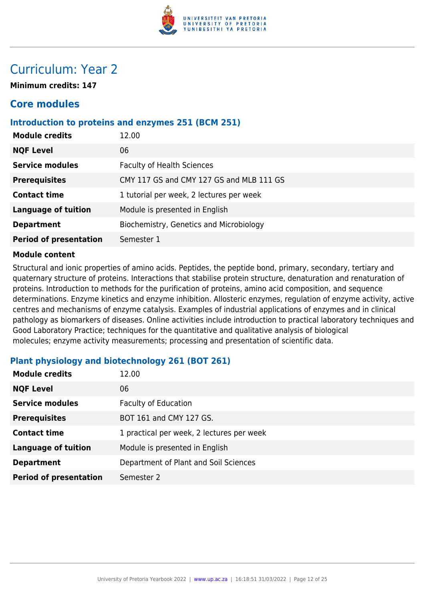

# Curriculum: Year 2

**Minimum credits: 147**

# **Core modules**

### **Introduction to proteins and enzymes 251 (BCM 251)**

| <b>Module credits</b>         | 12.00                                    |
|-------------------------------|------------------------------------------|
| <b>NQF Level</b>              | 06                                       |
| <b>Service modules</b>        | <b>Faculty of Health Sciences</b>        |
| <b>Prerequisites</b>          | CMY 117 GS and CMY 127 GS and MLB 111 GS |
| <b>Contact time</b>           | 1 tutorial per week, 2 lectures per week |
| <b>Language of tuition</b>    | Module is presented in English           |
| <b>Department</b>             | Biochemistry, Genetics and Microbiology  |
| <b>Period of presentation</b> | Semester 1                               |
|                               |                                          |

#### **Module content**

Structural and ionic properties of amino acids. Peptides, the peptide bond, primary, secondary, tertiary and quaternary structure of proteins. Interactions that stabilise protein structure, denaturation and renaturation of proteins. Introduction to methods for the purification of proteins, amino acid composition, and sequence determinations. Enzyme kinetics and enzyme inhibition. Allosteric enzymes, regulation of enzyme activity, active centres and mechanisms of enzyme catalysis. Examples of industrial applications of enzymes and in clinical pathology as biomarkers of diseases. Online activities include introduction to practical laboratory techniques and Good Laboratory Practice; techniques for the quantitative and qualitative analysis of biological molecules; enzyme activity measurements; processing and presentation of scientific data.

| <b>Module credits</b>         | 12.00                                     |
|-------------------------------|-------------------------------------------|
| <b>NQF Level</b>              | 06                                        |
| <b>Service modules</b>        | <b>Faculty of Education</b>               |
| <b>Prerequisites</b>          | BOT 161 and CMY 127 GS.                   |
| <b>Contact time</b>           | 1 practical per week, 2 lectures per week |
| <b>Language of tuition</b>    | Module is presented in English            |
| <b>Department</b>             | Department of Plant and Soil Sciences     |
| <b>Period of presentation</b> | Semester 2                                |

# **Plant physiology and biotechnology 261 (BOT 261)**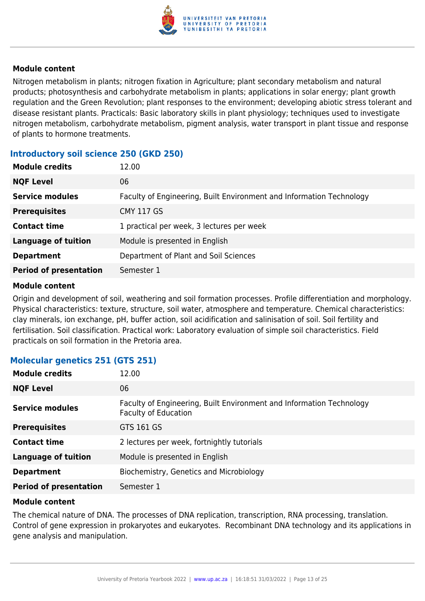

Nitrogen metabolism in plants; nitrogen fixation in Agriculture; plant secondary metabolism and natural products; photosynthesis and carbohydrate metabolism in plants; applications in solar energy; plant growth regulation and the Green Revolution; plant responses to the environment; developing abiotic stress tolerant and disease resistant plants. Practicals: Basic laboratory skills in plant physiology; techniques used to investigate nitrogen metabolism, carbohydrate metabolism, pigment analysis, water transport in plant tissue and response of plants to hormone treatments.

# **Introductory soil science 250 (GKD 250)**

| 12.00                                                                |
|----------------------------------------------------------------------|
| 06                                                                   |
| Faculty of Engineering, Built Environment and Information Technology |
| <b>CMY 117 GS</b>                                                    |
| 1 practical per week, 3 lectures per week                            |
| Module is presented in English                                       |
| Department of Plant and Soil Sciences                                |
| Semester 1                                                           |
|                                                                      |

#### **Module content**

Origin and development of soil, weathering and soil formation processes. Profile differentiation and morphology. Physical characteristics: texture, structure, soil water, atmosphere and temperature. Chemical characteristics: clay minerals, ion exchange, pH, buffer action, soil acidification and salinisation of soil. Soil fertility and fertilisation. Soil classification. Practical work: Laboratory evaluation of simple soil characteristics. Field practicals on soil formation in the Pretoria area.

# **Molecular genetics 251 (GTS 251)**

| <b>Module credits</b>         | 12.00                                                                                               |
|-------------------------------|-----------------------------------------------------------------------------------------------------|
| <b>NQF Level</b>              | 06                                                                                                  |
| <b>Service modules</b>        | Faculty of Engineering, Built Environment and Information Technology<br><b>Faculty of Education</b> |
| <b>Prerequisites</b>          | GTS 161 GS                                                                                          |
| <b>Contact time</b>           | 2 lectures per week, fortnightly tutorials                                                          |
| <b>Language of tuition</b>    | Module is presented in English                                                                      |
| <b>Department</b>             | Biochemistry, Genetics and Microbiology                                                             |
| <b>Period of presentation</b> | Semester 1                                                                                          |

#### **Module content**

The chemical nature of DNA. The processes of DNA replication, transcription, RNA processing, translation. Control of gene expression in prokaryotes and eukaryotes. Recombinant DNA technology and its applications in gene analysis and manipulation.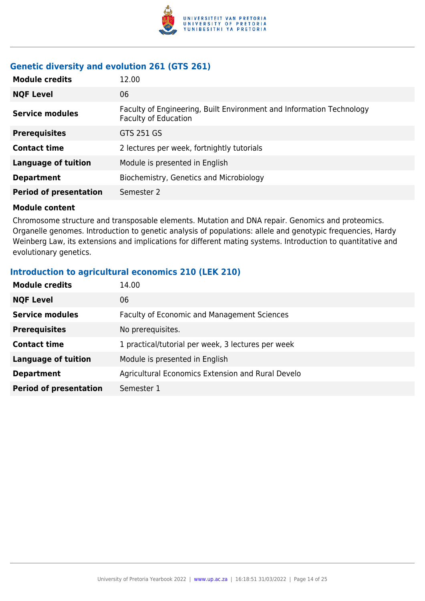

# **Genetic diversity and evolution 261 (GTS 261)**

| <b>Module credits</b>         | 12.00                                                                                               |
|-------------------------------|-----------------------------------------------------------------------------------------------------|
| <b>NQF Level</b>              | 06                                                                                                  |
| <b>Service modules</b>        | Faculty of Engineering, Built Environment and Information Technology<br><b>Faculty of Education</b> |
| <b>Prerequisites</b>          | GTS 251 GS                                                                                          |
| <b>Contact time</b>           | 2 lectures per week, fortnightly tutorials                                                          |
| <b>Language of tuition</b>    | Module is presented in English                                                                      |
| <b>Department</b>             | Biochemistry, Genetics and Microbiology                                                             |
| <b>Period of presentation</b> | Semester 2                                                                                          |
|                               |                                                                                                     |

#### **Module content**

Chromosome structure and transposable elements. Mutation and DNA repair. Genomics and proteomics. Organelle genomes. Introduction to genetic analysis of populations: allele and genotypic frequencies, Hardy Weinberg Law, its extensions and implications for different mating systems. Introduction to quantitative and evolutionary genetics.

#### **Introduction to agricultural economics 210 (LEK 210)**

| <b>Module credits</b>         | 14.00                                              |
|-------------------------------|----------------------------------------------------|
| <b>NQF Level</b>              | 06                                                 |
| <b>Service modules</b>        | Faculty of Economic and Management Sciences        |
| <b>Prerequisites</b>          | No prerequisites.                                  |
| <b>Contact time</b>           | 1 practical/tutorial per week, 3 lectures per week |
| <b>Language of tuition</b>    | Module is presented in English                     |
| <b>Department</b>             | Agricultural Economics Extension and Rural Develo  |
| <b>Period of presentation</b> | Semester 1                                         |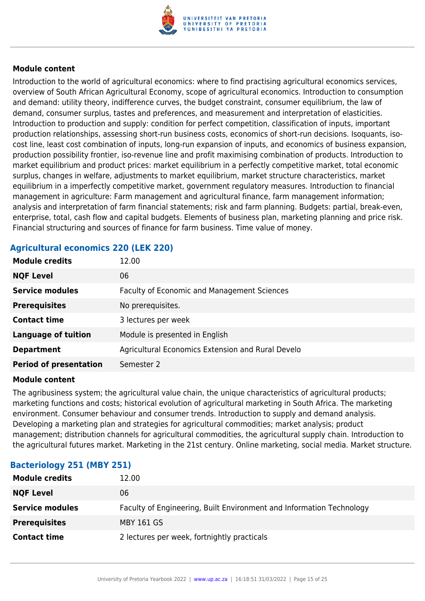

Introduction to the world of agricultural economics: where to find practising agricultural economics services, overview of South African Agricultural Economy, scope of agricultural economics. Introduction to consumption and demand: utility theory, indifference curves, the budget constraint, consumer equilibrium, the law of demand, consumer surplus, tastes and preferences, and measurement and interpretation of elasticities. Introduction to production and supply: condition for perfect competition, classification of inputs, important production relationships, assessing short-run business costs, economics of short-run decisions. Isoquants, isocost line, least cost combination of inputs, long-run expansion of inputs, and economics of business expansion, production possibility frontier, iso-revenue line and profit maximising combination of products. Introduction to market equilibrium and product prices: market equilibrium in a perfectly competitive market, total economic surplus, changes in welfare, adjustments to market equilibrium, market structure characteristics, market equilibrium in a imperfectly competitive market, government regulatory measures. Introduction to financial management in agriculture: Farm management and agricultural finance, farm management information; analysis and interpretation of farm financial statements; risk and farm planning. Budgets: partial, break-even, enterprise, total, cash flow and capital budgets. Elements of business plan, marketing planning and price risk. Financial structuring and sources of finance for farm business. Time value of money.

| <b>Module credits</b>         | 12.00                                             |
|-------------------------------|---------------------------------------------------|
| <b>NQF Level</b>              | 06                                                |
| <b>Service modules</b>        | Faculty of Economic and Management Sciences       |
| <b>Prerequisites</b>          | No prerequisites.                                 |
| <b>Contact time</b>           | 3 lectures per week                               |
| Language of tuition           | Module is presented in English                    |
| <b>Department</b>             | Agricultural Economics Extension and Rural Develo |
| <b>Period of presentation</b> | Semester 2                                        |

# **Agricultural economics 220 (LEK 220)**

#### **Module content**

The agribusiness system; the agricultural value chain, the unique characteristics of agricultural products; marketing functions and costs; historical evolution of agricultural marketing in South Africa. The marketing environment. Consumer behaviour and consumer trends. Introduction to supply and demand analysis. Developing a marketing plan and strategies for agricultural commodities; market analysis; product management; distribution channels for agricultural commodities, the agricultural supply chain. Introduction to the agricultural futures market. Marketing in the 21st century. Online marketing, social media. Market structure.

| <b>Module credits</b>  | 12.00                                                                |
|------------------------|----------------------------------------------------------------------|
| <b>NQF Level</b>       | 06                                                                   |
| <b>Service modules</b> | Faculty of Engineering, Built Environment and Information Technology |
| <b>Prerequisites</b>   | <b>MBY 161 GS</b>                                                    |
| <b>Contact time</b>    | 2 lectures per week, fortnightly practicals                          |
|                        |                                                                      |

# **Bacteriology 251 (MBY 251)**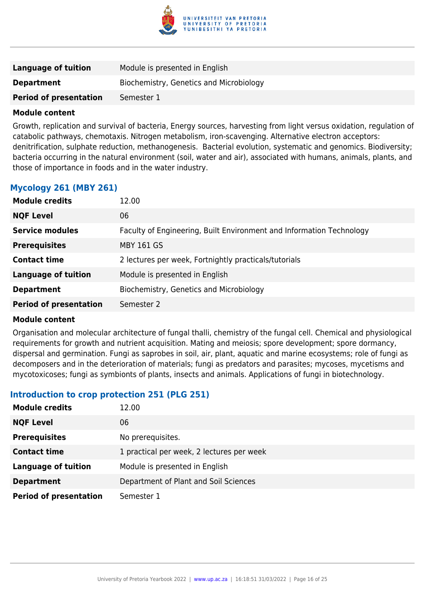

| Language of tuition           | Module is presented in English          |
|-------------------------------|-----------------------------------------|
| <b>Department</b>             | Biochemistry, Genetics and Microbiology |
| <b>Period of presentation</b> | Semester 1                              |

Growth, replication and survival of bacteria, Energy sources, harvesting from light versus oxidation, regulation of catabolic pathways, chemotaxis. Nitrogen metabolism, iron-scavenging. Alternative electron acceptors: denitrification, sulphate reduction, methanogenesis. Bacterial evolution, systematic and genomics. Biodiversity; bacteria occurring in the natural environment (soil, water and air), associated with humans, animals, plants, and those of importance in foods and in the water industry.

# **Mycology 261 (MBY 261)**

| <b>Module credits</b>         | 12.00                                                                |
|-------------------------------|----------------------------------------------------------------------|
| <b>NQF Level</b>              | 06                                                                   |
| <b>Service modules</b>        | Faculty of Engineering, Built Environment and Information Technology |
| <b>Prerequisites</b>          | <b>MBY 161 GS</b>                                                    |
| <b>Contact time</b>           | 2 lectures per week, Fortnightly practicals/tutorials                |
| <b>Language of tuition</b>    | Module is presented in English                                       |
| <b>Department</b>             | Biochemistry, Genetics and Microbiology                              |
| <b>Period of presentation</b> | Semester 2                                                           |

#### **Module content**

Organisation and molecular architecture of fungal thalli, chemistry of the fungal cell. Chemical and physiological requirements for growth and nutrient acquisition. Mating and meiosis; spore development; spore dormancy, dispersal and germination. Fungi as saprobes in soil, air, plant, aquatic and marine ecosystems; role of fungi as decomposers and in the deterioration of materials; fungi as predators and parasites; mycoses, mycetisms and mycotoxicoses; fungi as symbionts of plants, insects and animals. Applications of fungi in biotechnology.

#### **Introduction to crop protection 251 (PLG 251)**

| <b>Module credits</b>         | 12.00                                     |
|-------------------------------|-------------------------------------------|
| <b>NQF Level</b>              | 06                                        |
| <b>Prerequisites</b>          | No prerequisites.                         |
| <b>Contact time</b>           | 1 practical per week, 2 lectures per week |
| <b>Language of tuition</b>    | Module is presented in English            |
| <b>Department</b>             | Department of Plant and Soil Sciences     |
| <b>Period of presentation</b> | Semester 1                                |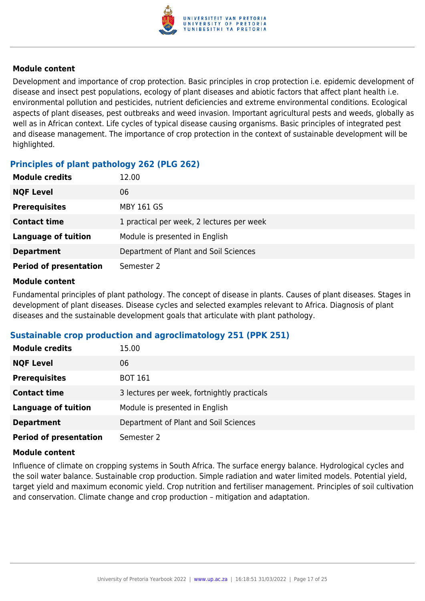

Development and importance of crop protection. Basic principles in crop protection i.e. epidemic development of disease and insect pest populations, ecology of plant diseases and abiotic factors that affect plant health i.e. environmental pollution and pesticides, nutrient deficiencies and extreme environmental conditions. Ecological aspects of plant diseases, pest outbreaks and weed invasion. Important agricultural pests and weeds, globally as well as in African context. Life cycles of typical disease causing organisms. Basic principles of integrated pest and disease management. The importance of crop protection in the context of sustainable development will be highlighted.

# **Principles of plant pathology 262 (PLG 262)**

| <b>Module credits</b>         | 12.00                                     |
|-------------------------------|-------------------------------------------|
| <b>NQF Level</b>              | 06                                        |
| <b>Prerequisites</b>          | <b>MBY 161 GS</b>                         |
| <b>Contact time</b>           | 1 practical per week, 2 lectures per week |
| <b>Language of tuition</b>    | Module is presented in English            |
| <b>Department</b>             | Department of Plant and Soil Sciences     |
| <b>Period of presentation</b> | Semester 2                                |

#### **Module content**

Fundamental principles of plant pathology. The concept of disease in plants. Causes of plant diseases. Stages in development of plant diseases. Disease cycles and selected examples relevant to Africa. Diagnosis of plant diseases and the sustainable development goals that articulate with plant pathology.

# **Sustainable crop production and agroclimatology 251 (PPK 251)**

| <b>Module credits</b>         | 15.00                                       |
|-------------------------------|---------------------------------------------|
| <b>NQF Level</b>              | 06                                          |
| <b>Prerequisites</b>          | <b>BOT 161</b>                              |
| <b>Contact time</b>           | 3 lectures per week, fortnightly practicals |
| <b>Language of tuition</b>    | Module is presented in English              |
| <b>Department</b>             | Department of Plant and Soil Sciences       |
| <b>Period of presentation</b> | Semester 2                                  |

#### **Module content**

Influence of climate on cropping systems in South Africa. The surface energy balance. Hydrological cycles and the soil water balance. Sustainable crop production. Simple radiation and water limited models. Potential yield, target yield and maximum economic yield. Crop nutrition and fertiliser management. Principles of soil cultivation and conservation. Climate change and crop production – mitigation and adaptation.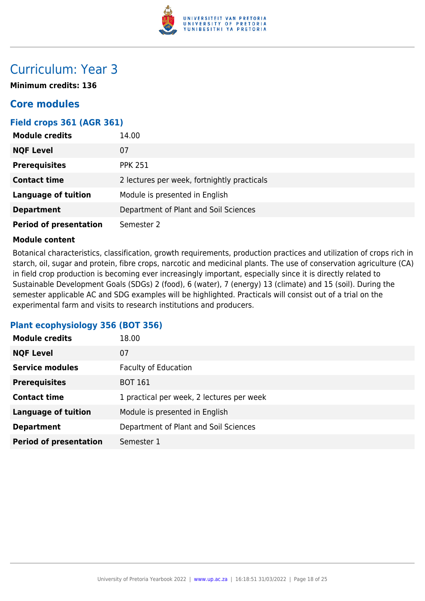

# Curriculum: Year 3

**Minimum credits: 136**

# **Core modules**

### **Field crops 361 (AGR 361)**

| <b>Module credits</b>         | 14.00                                       |
|-------------------------------|---------------------------------------------|
| <b>NQF Level</b>              | 07                                          |
| <b>Prerequisites</b>          | <b>PPK 251</b>                              |
| <b>Contact time</b>           | 2 lectures per week, fortnightly practicals |
| <b>Language of tuition</b>    | Module is presented in English              |
| <b>Department</b>             | Department of Plant and Soil Sciences       |
| <b>Period of presentation</b> | Semester 2                                  |

#### **Module content**

Botanical characteristics, classification, growth requirements, production practices and utilization of crops rich in starch, oil, sugar and protein, fibre crops, narcotic and medicinal plants. The use of conservation agriculture (CA) in field crop production is becoming ever increasingly important, especially since it is directly related to Sustainable Development Goals (SDGs) 2 (food), 6 (water), 7 (energy) 13 (climate) and 15 (soil). During the semester applicable AC and SDG examples will be highlighted. Practicals will consist out of a trial on the experimental farm and visits to research institutions and producers.

#### **Plant ecophysiology 356 (BOT 356)**

| <b>Module credits</b>         | 18.00                                     |
|-------------------------------|-------------------------------------------|
| <b>NQF Level</b>              | 07                                        |
| <b>Service modules</b>        | <b>Faculty of Education</b>               |
| <b>Prerequisites</b>          | <b>BOT 161</b>                            |
| <b>Contact time</b>           | 1 practical per week, 2 lectures per week |
| <b>Language of tuition</b>    | Module is presented in English            |
| <b>Department</b>             | Department of Plant and Soil Sciences     |
| <b>Period of presentation</b> | Semester 1                                |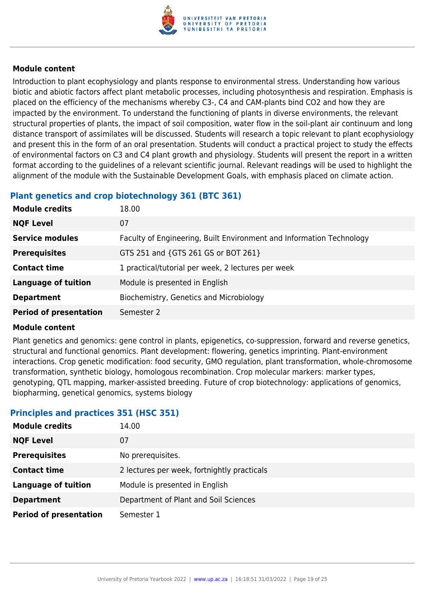

Introduction to plant ecophysiology and plants response to environmental stress. Understanding how various biotic and abiotic factors affect plant metabolic processes, including photosynthesis and respiration. Emphasis is placed on the efficiency of the mechanisms whereby C3-, C4 and CAM-plants bind CO2 and how they are impacted by the environment. To understand the functioning of plants in diverse environments, the relevant structural properties of plants, the impact of soil composition, water flow in the soil-plant air continuum and long distance transport of assimilates will be discussed. Students will research a topic relevant to plant ecophysiology and present this in the form of an oral presentation. Students will conduct a practical project to study the effects of environmental factors on C3 and C4 plant growth and physiology. Students will present the report in a written format according to the guidelines of a relevant scientific journal. Relevant readings will be used to highlight the alignment of the module with the Sustainable Development Goals, with emphasis placed on climate action.

# **Plant genetics and crop biotechnology 361 (BTC 361)**

| <b>Module credits</b>         | 18.00                                                                |
|-------------------------------|----------------------------------------------------------------------|
| <b>NQF Level</b>              | 07                                                                   |
| <b>Service modules</b>        | Faculty of Engineering, Built Environment and Information Technology |
| <b>Prerequisites</b>          | GTS 251 and {GTS 261 GS or BOT 261}                                  |
| <b>Contact time</b>           | 1 practical/tutorial per week, 2 lectures per week                   |
| <b>Language of tuition</b>    | Module is presented in English                                       |
| <b>Department</b>             | Biochemistry, Genetics and Microbiology                              |
| <b>Period of presentation</b> | Semester 2                                                           |

#### **Module content**

Plant genetics and genomics: gene control in plants, epigenetics, co-suppression, forward and reverse genetics, structural and functional genomics. Plant development: flowering, genetics imprinting. Plant-environment interactions. Crop genetic modification: food security, GMO regulation, plant transformation, whole-chromosome transformation, synthetic biology, homologous recombination. Crop molecular markers: marker types, genotyping, QTL mapping, marker-assisted breeding. Future of crop biotechnology: applications of genomics, biopharming, genetical genomics, systems biology

# **Principles and practices 351 (HSC 351)**

| <b>Module credits</b>         | 14.00                                       |
|-------------------------------|---------------------------------------------|
| <b>NQF Level</b>              | 07                                          |
| <b>Prerequisites</b>          | No prerequisites.                           |
| <b>Contact time</b>           | 2 lectures per week, fortnightly practicals |
| <b>Language of tuition</b>    | Module is presented in English              |
| <b>Department</b>             | Department of Plant and Soil Sciences       |
| <b>Period of presentation</b> | Semester 1                                  |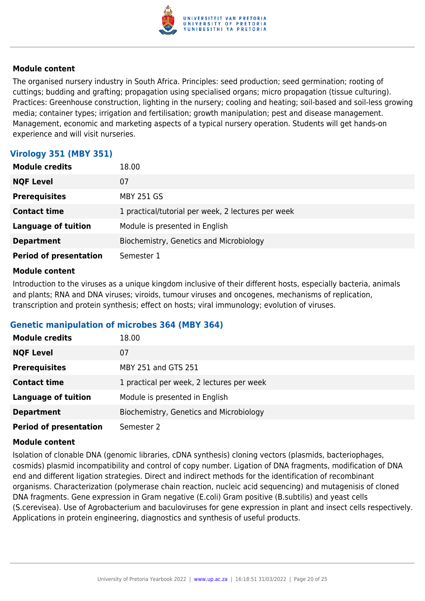

The organised nursery industry in South Africa. Principles: seed production; seed germination; rooting of cuttings; budding and grafting; propagation using specialised organs; micro propagation (tissue culturing). Practices: Greenhouse construction, lighting in the nursery; cooling and heating; soil-based and soil-less growing media; container types; irrigation and fertilisation; growth manipulation; pest and disease management. Management, economic and marketing aspects of a typical nursery operation. Students will get hands-on experience and will visit nurseries.

# **Virology 351 (MBY 351)**

| <b>Module credits</b>         | 18.00                                              |
|-------------------------------|----------------------------------------------------|
| <b>NQF Level</b>              | 07                                                 |
| <b>Prerequisites</b>          | <b>MBY 251 GS</b>                                  |
| <b>Contact time</b>           | 1 practical/tutorial per week, 2 lectures per week |
| <b>Language of tuition</b>    | Module is presented in English                     |
| <b>Department</b>             | Biochemistry, Genetics and Microbiology            |
| <b>Period of presentation</b> | Semester 1                                         |

#### **Module content**

Introduction to the viruses as a unique kingdom inclusive of their different hosts, especially bacteria, animals and plants; RNA and DNA viruses; viroids, tumour viruses and oncogenes, mechanisms of replication, transcription and protein synthesis; effect on hosts; viral immunology; evolution of viruses.

#### **Genetic manipulation of microbes 364 (MBY 364)**

| <b>Module credits</b>         | 18.00                                     |
|-------------------------------|-------------------------------------------|
| <b>NQF Level</b>              | 07                                        |
| <b>Prerequisites</b>          | MBY 251 and GTS 251                       |
| <b>Contact time</b>           | 1 practical per week, 2 lectures per week |
| <b>Language of tuition</b>    | Module is presented in English            |
| <b>Department</b>             | Biochemistry, Genetics and Microbiology   |
| <b>Period of presentation</b> | Semester 2                                |

#### **Module content**

Isolation of clonable DNA (genomic libraries, cDNA synthesis) cloning vectors (plasmids, bacteriophages, cosmids) plasmid incompatibility and control of copy number. Ligation of DNA fragments, modification of DNA end and different ligation strategies. Direct and indirect methods for the identification of recombinant organisms. Characterization (polymerase chain reaction, nucleic acid sequencing) and mutagenisis of cloned DNA fragments. Gene expression in Gram negative (E.coli) Gram positive (B.subtilis) and yeast cells (S.cerevisea). Use of Agrobacterium and baculoviruses for gene expression in plant and insect cells respectively. Applications in protein engineering, diagnostics and synthesis of useful products.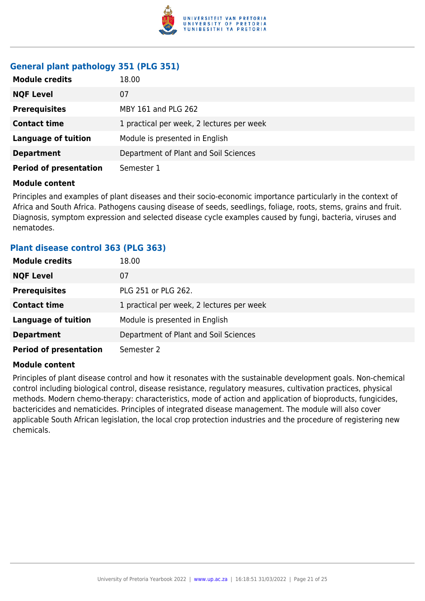

# **General plant pathology 351 (PLG 351)**

| <b>Module credits</b>         | 18.00                                     |
|-------------------------------|-------------------------------------------|
| <b>NQF Level</b>              | 07                                        |
| <b>Prerequisites</b>          | MBY 161 and PLG 262                       |
| <b>Contact time</b>           | 1 practical per week, 2 lectures per week |
| <b>Language of tuition</b>    | Module is presented in English            |
| <b>Department</b>             | Department of Plant and Soil Sciences     |
| <b>Period of presentation</b> | Semester 1                                |

#### **Module content**

Principles and examples of plant diseases and their socio-economic importance particularly in the context of Africa and South Africa. Pathogens causing disease of seeds, seedlings, foliage, roots, stems, grains and fruit. Diagnosis, symptom expression and selected disease cycle examples caused by fungi, bacteria, viruses and nematodes.

#### **Plant disease control 363 (PLG 363)**

| <b>Module credits</b>         | 18.00                                     |
|-------------------------------|-------------------------------------------|
| <b>NQF Level</b>              | 07                                        |
| <b>Prerequisites</b>          | PLG 251 or PLG 262.                       |
| <b>Contact time</b>           | 1 practical per week, 2 lectures per week |
| <b>Language of tuition</b>    | Module is presented in English            |
| <b>Department</b>             | Department of Plant and Soil Sciences     |
| <b>Period of presentation</b> | Semester 2                                |

#### **Module content**

Principles of plant disease control and how it resonates with the sustainable development goals. Non-chemical control including biological control, disease resistance, regulatory measures, cultivation practices, physical methods. Modern chemo-therapy: characteristics, mode of action and application of bioproducts, fungicides, bactericides and nematicides. Principles of integrated disease management. The module will also cover applicable South African legislation, the local crop protection industries and the procedure of registering new chemicals.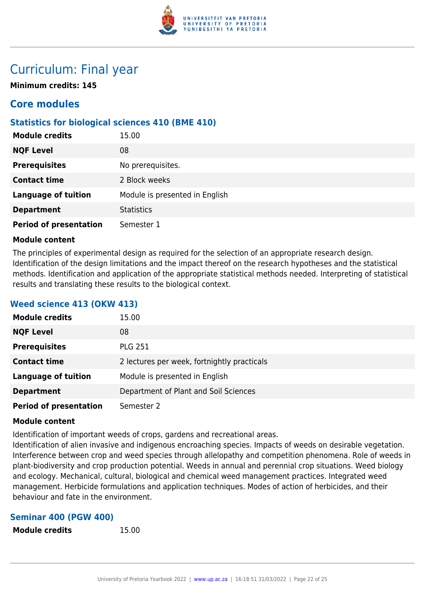

# Curriculum: Final year

**Minimum credits: 145**

# **Core modules**

# **Statistics for biological sciences 410 (BME 410)**

| <b>Module credits</b>         | 15.00                          |
|-------------------------------|--------------------------------|
| <b>NQF Level</b>              | 08                             |
| <b>Prerequisites</b>          | No prerequisites.              |
| <b>Contact time</b>           | 2 Block weeks                  |
| <b>Language of tuition</b>    | Module is presented in English |
| <b>Department</b>             | <b>Statistics</b>              |
| <b>Period of presentation</b> | Semester 1                     |

#### **Module content**

The principles of experimental design as required for the selection of an appropriate research design. Identification of the design limitations and the impact thereof on the research hypotheses and the statistical methods. Identification and application of the appropriate statistical methods needed. Interpreting of statistical results and translating these results to the biological context.

# **Weed science 413 (OKW 413)**

| <b>Module credits</b>         | 15.00                                       |
|-------------------------------|---------------------------------------------|
| <b>NQF Level</b>              | 08                                          |
| <b>Prerequisites</b>          | <b>PLG 251</b>                              |
| <b>Contact time</b>           | 2 lectures per week, fortnightly practicals |
| <b>Language of tuition</b>    | Module is presented in English              |
| <b>Department</b>             | Department of Plant and Soil Sciences       |
| <b>Period of presentation</b> | Semester 2                                  |

#### **Module content**

Identification of important weeds of crops, gardens and recreational areas.

Identification of alien invasive and indigenous encroaching species. Impacts of weeds on desirable vegetation. Interference between crop and weed species through allelopathy and competition phenomena. Role of weeds in plant-biodiversity and crop production potential. Weeds in annual and perennial crop situations. Weed biology and ecology. Mechanical, cultural, biological and chemical weed management practices. Integrated weed management. Herbicide formulations and application techniques. Modes of action of herbicides, and their behaviour and fate in the environment.

#### **Seminar 400 (PGW 400)**

```
Module credits 15.00
```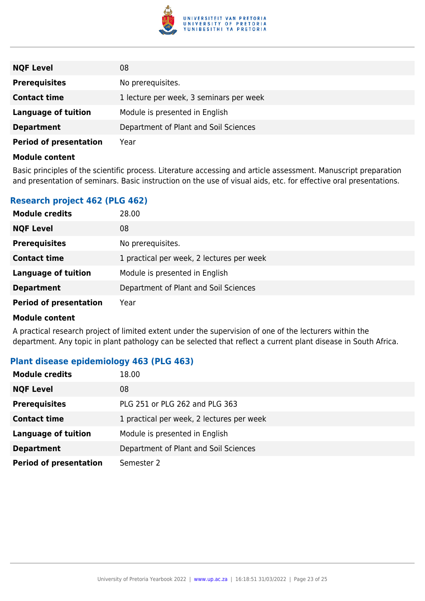

| <b>NQF Level</b>              | 08                                      |
|-------------------------------|-----------------------------------------|
| <b>Prerequisites</b>          | No prerequisites.                       |
| <b>Contact time</b>           | 1 lecture per week, 3 seminars per week |
| Language of tuition           | Module is presented in English          |
| <b>Department</b>             | Department of Plant and Soil Sciences   |
| <b>Period of presentation</b> | Year                                    |

Basic principles of the scientific process. Literature accessing and article assessment. Manuscript preparation and presentation of seminars. Basic instruction on the use of visual aids, etc. for effective oral presentations.

# **Research project 462 (PLG 462)**

| <b>Module credits</b>         | 28.00                                     |
|-------------------------------|-------------------------------------------|
| <b>NQF Level</b>              | 08                                        |
| <b>Prerequisites</b>          | No prerequisites.                         |
| <b>Contact time</b>           | 1 practical per week, 2 lectures per week |
| <b>Language of tuition</b>    | Module is presented in English            |
| <b>Department</b>             | Department of Plant and Soil Sciences     |
| <b>Period of presentation</b> | Year                                      |

#### **Module content**

A practical research project of limited extent under the supervision of one of the lecturers within the department. Any topic in plant pathology can be selected that reflect a current plant disease in South Africa.

# **Plant disease epidemiology 463 (PLG 463)**

| <b>Module credits</b>         | 18.00                                     |
|-------------------------------|-------------------------------------------|
| <b>NQF Level</b>              | 08                                        |
| <b>Prerequisites</b>          | PLG 251 or PLG 262 and PLG 363            |
| <b>Contact time</b>           | 1 practical per week, 2 lectures per week |
| <b>Language of tuition</b>    | Module is presented in English            |
| <b>Department</b>             | Department of Plant and Soil Sciences     |
| <b>Period of presentation</b> | Semester 2                                |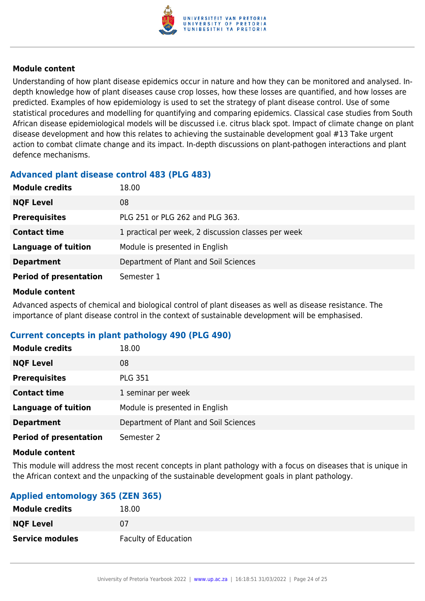

Understanding of how plant disease epidemics occur in nature and how they can be monitored and analysed. Indepth knowledge how of plant diseases cause crop losses, how these losses are quantified, and how losses are predicted. Examples of how epidemiology is used to set the strategy of plant disease control. Use of some statistical procedures and modelling for quantifying and comparing epidemics. Classical case studies from South African disease epidemiological models will be discussed i.e. citrus black spot. Impact of climate change on plant disease development and how this relates to achieving the sustainable development goal #13 Take urgent action to combat climate change and its impact. In-depth discussions on plant-pathogen interactions and plant defence mechanisms.

# **Advanced plant disease control 483 (PLG 483)**

| <b>Module credits</b>         | 18.00                                               |
|-------------------------------|-----------------------------------------------------|
| <b>NQF Level</b>              | 08                                                  |
| <b>Prerequisites</b>          | PLG 251 or PLG 262 and PLG 363.                     |
| <b>Contact time</b>           | 1 practical per week, 2 discussion classes per week |
| <b>Language of tuition</b>    | Module is presented in English                      |
| <b>Department</b>             | Department of Plant and Soil Sciences               |
| <b>Period of presentation</b> | Semester 1                                          |

#### **Module content**

Advanced aspects of chemical and biological control of plant diseases as well as disease resistance. The importance of plant disease control in the context of sustainable development will be emphasised.

# **Current concepts in plant pathology 490 (PLG 490)**

| <b>Module credits</b>         | 18.00                                 |
|-------------------------------|---------------------------------------|
| <b>NQF Level</b>              | 08                                    |
| <b>Prerequisites</b>          | <b>PLG 351</b>                        |
| <b>Contact time</b>           | 1 seminar per week                    |
| <b>Language of tuition</b>    | Module is presented in English        |
| <b>Department</b>             | Department of Plant and Soil Sciences |
| <b>Period of presentation</b> | Semester 2                            |

#### **Module content**

This module will address the most recent concepts in plant pathology with a focus on diseases that is unique in the African context and the unpacking of the sustainable development goals in plant pathology.

# **Applied entomology 365 (ZEN 365)**

| <b>Module credits</b>  | 18.00                       |
|------------------------|-----------------------------|
| <b>NQF Level</b>       | 07                          |
| <b>Service modules</b> | <b>Faculty of Education</b> |